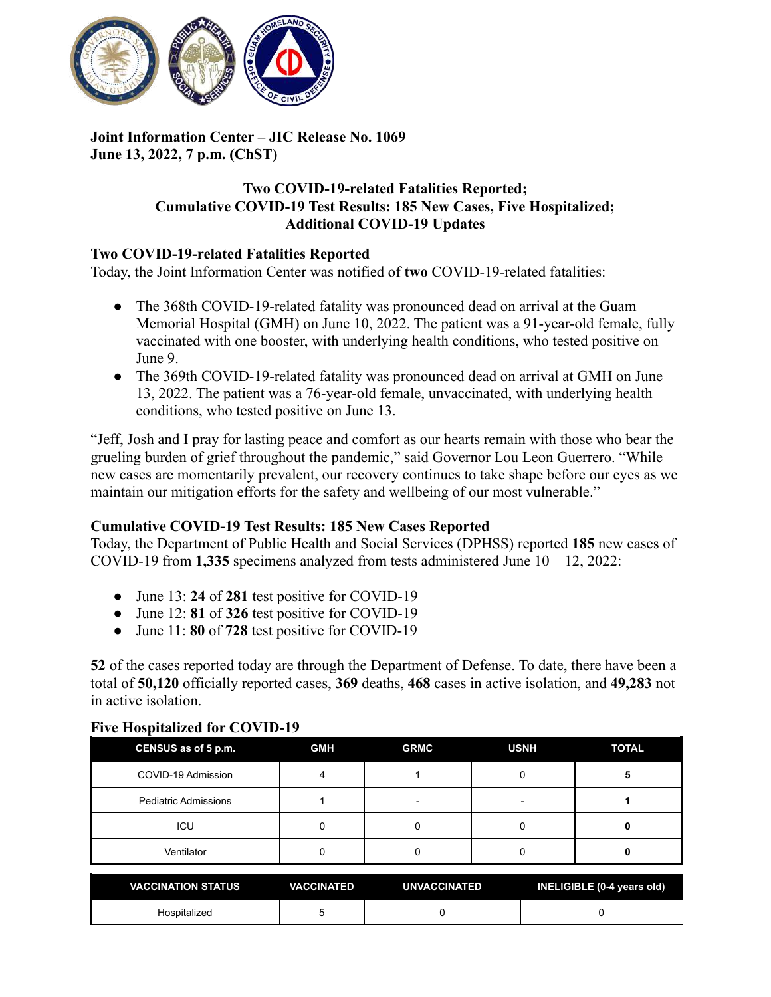

## **Joint Information Center – JIC Release No. 1069 June 13, 2022, 7 p.m. (ChST)**

## **Two COVID-19-related Fatalities Reported; Cumulative COVID-19 Test Results: 185 New Cases, Five Hospitalized; Additional COVID-19 Updates**

## **Two COVID-19-related Fatalities Reported**

Today, the Joint Information Center was notified of **two** COVID-19-related fatalities:

- The 368th COVID-19-related fatality was pronounced dead on arrival at the Guam Memorial Hospital (GMH) on June 10, 2022. The patient was a 91-year-old female, fully vaccinated with one booster, with underlying health conditions, who tested positive on June 9.
- The 369th COVID-19-related fatality was pronounced dead on arrival at GMH on June 13, 2022. The patient was a 76-year-old female, unvaccinated, with underlying health conditions, who tested positive on June 13.

"Jeff, Josh and I pray for lasting peace and comfort as our hearts remain with those who bear the grueling burden of grief throughout the pandemic," said Governor Lou Leon Guerrero. "While new cases are momentarily prevalent, our recovery continues to take shape before our eyes as we maintain our mitigation efforts for the safety and wellbeing of our most vulnerable."

## **Cumulative COVID-19 Test Results: 185 New Cases Reported**

Today, the Department of Public Health and Social Services (DPHSS) reported **185** new cases of COVID-19 from **1,335** specimens analyzed from tests administered June 10 – 12, 2022:

- June 13: **24** of **281** test positive for COVID-19
- June 12: **81** of **326** test positive for COVID-19
- June 11: **80** of **728** test positive for COVID-19

**52** of the cases reported today are through the Department of Defense. To date, there have been a total of **50,120** officially reported cases, **369** deaths, **468** cases in active isolation, and **49,283** not in active isolation.

## **Five Hospitalized for COVID-19**

| CENSUS as of 5 p.m.         | <b>GMH</b> | <b>GRMC</b> | <b>USNH</b> | <b>TOTAL</b> |
|-----------------------------|------------|-------------|-------------|--------------|
| COVID-19 Admission          |            |             |             | э            |
| <b>Pediatric Admissions</b> |            | -           | -           |              |
| ICU                         |            |             |             |              |
| Ventilator                  |            |             |             |              |

| VACCINATION STATUS | <b>VACCINATED</b> | <b>UNVACCINATED</b> | INELIGIBLE (0-4 years old) |
|--------------------|-------------------|---------------------|----------------------------|
| Hospitalized       |                   |                     |                            |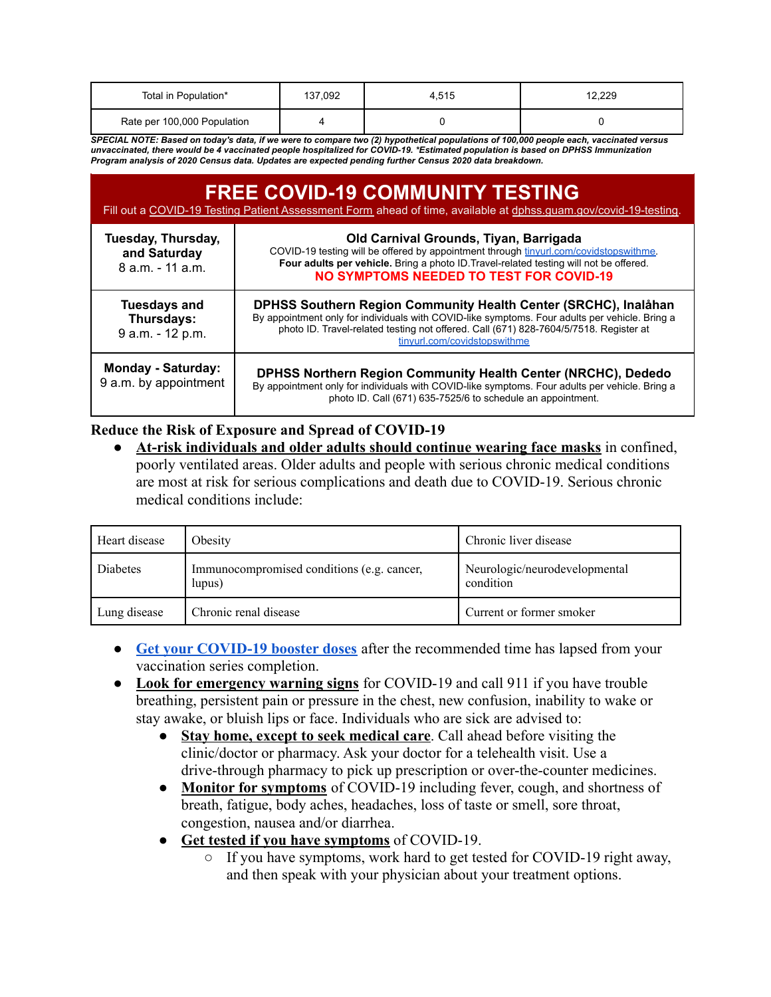| Total in Population*        | 137,092 | 4.515 | 12.229 |
|-----------------------------|---------|-------|--------|
| Rate per 100,000 Population |         |       |        |

SPECIAL NOTE: Based on today's data, if we were to compare two (2) hypothetical populations of 100,000 people each, vaccinated versus unvaccinated, there would be 4 vaccinated people hospitalized for COVID-19. \*Estimated population is based on DPHSS Immunization *Program analysis of 2020 Census data. Updates are expected pending further Census 2020 data breakdown.*

| <b>FREE COVID-19 COMMUNITY TESTING</b><br>Fill out a COVID-19 Testing Patient Assessment Form ahead of time, available at dphss.quam.gov/covid-19-testing. |                                                                                                                                                                                                                                                                                            |  |
|------------------------------------------------------------------------------------------------------------------------------------------------------------|--------------------------------------------------------------------------------------------------------------------------------------------------------------------------------------------------------------------------------------------------------------------------------------------|--|
| Tuesday, Thursday,<br>and Saturday<br>8 a.m. - 11 a.m.                                                                                                     | Old Carnival Grounds, Tiyan, Barrigada<br>COVID-19 testing will be offered by appointment through tinyurl.com/covidstopswithme.<br>Four adults per vehicle. Bring a photo ID. Travel-related testing will not be offered.<br><b>NO SYMPTOMS NEEDED TO TEST FOR COVID-19</b>                |  |
| <b>Tuesdays and</b><br>Thursdays:<br>9 a.m. - 12 p.m.                                                                                                      | DPHSS Southern Region Community Health Center (SRCHC), Inalåhan<br>By appointment only for individuals with COVID-like symptoms. Four adults per vehicle. Bring a<br>photo ID. Travel-related testing not offered. Call (671) 828-7604/5/7518. Register at<br>tinyurl.com/covidstopswithme |  |
| <b>Monday - Saturday:</b><br>9 a.m. by appointment                                                                                                         | <b>DPHSS Northern Region Community Health Center (NRCHC), Dededo</b><br>By appointment only for individuals with COVID-like symptoms. Four adults per vehicle. Bring a<br>photo ID. Call (671) 635-7525/6 to schedule an appointment.                                                      |  |

### **Reduce the Risk of Exposure and Spread of COVID-19**

● **At-risk individuals and older adults should continue wearing face masks** in confined, poorly ventilated areas. Older adults and people with serious chronic medical conditions are most at risk for serious complications and death due to COVID-19. Serious chronic medical conditions include:

| Heart disease | Obesity                                              | Chronic liver disease                      |
|---------------|------------------------------------------------------|--------------------------------------------|
| Diabetes      | Immunocompromised conditions (e.g. cancer,<br>lupus) | Neurologic/neurodevelopmental<br>condition |
| Lung disease  | Chronic renal disease                                | Current or former smoker                   |

- **[Get your COVID-19 booster doses](http://cdc.gov/coronavirus/2019-ncov/vaccines/booster-shot.html)** after the recommended time has lapsed from your vaccination series completion.
- **Look for emergency warning signs** for COVID-19 and call 911 if you have trouble breathing, persistent pain or pressure in the chest, new confusion, inability to wake or stay awake, or bluish lips or face. Individuals who are sick are advised to:
	- **Stay home, except to seek medical care**. Call ahead before visiting the clinic/doctor or pharmacy. Ask your doctor for a telehealth visit. Use a drive-through pharmacy to pick up prescription or over-the-counter medicines.
	- **Monitor for symptoms** of COVID-19 including fever, cough, and shortness of breath, fatigue, body aches, headaches, loss of taste or smell, sore throat, congestion, nausea and/or diarrhea.
	- **Get tested if you have symptoms** of COVID-19.
		- If you have symptoms, work hard to get tested for COVID-19 right away, and then speak with your physician about your treatment options.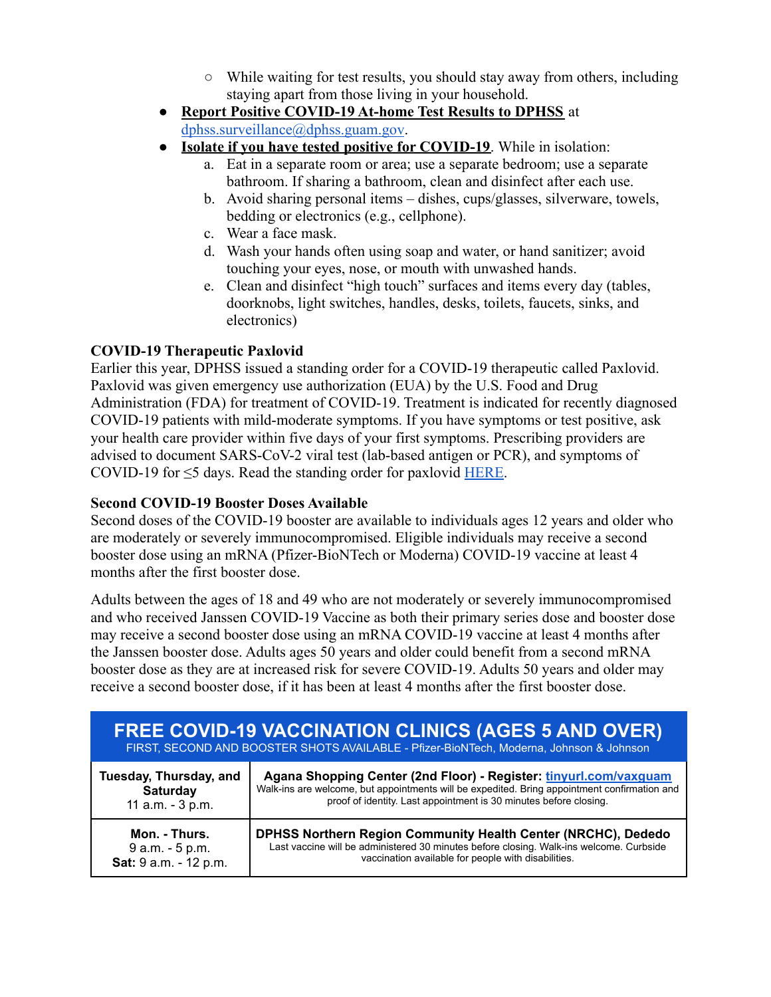- While waiting for test results, you should stay away from others, including staying apart from those living in your household.
- **Report Positive COVID-19 At-home Test Results to DPHSS** at [dphss.surveillance@dphss.guam.gov](mailto:dphss.surveillance@dphss.guam.gov).
- **Isolate if you have tested positive for COVID-19**. While in isolation:
	- a. Eat in a separate room or area; use a separate bedroom; use a separate bathroom. If sharing a bathroom, clean and disinfect after each use.
	- b. Avoid sharing personal items dishes, cups/glasses, silverware, towels, bedding or electronics (e.g., cellphone).
	- c. Wear a face mask.
	- d. Wash your hands often using soap and water, or hand sanitizer; avoid touching your eyes, nose, or mouth with unwashed hands.
	- e. Clean and disinfect "high touch" surfaces and items every day (tables, doorknobs, light switches, handles, desks, toilets, faucets, sinks, and electronics)

# **COVID-19 Therapeutic Paxlovid**

Earlier this year, DPHSS issued a standing order for a COVID-19 therapeutic called Paxlovid. Paxlovid was given emergency use authorization (EUA) by the U.S. Food and Drug Administration (FDA) for treatment of COVID-19. Treatment is indicated for recently diagnosed COVID-19 patients with mild-moderate symptoms. If you have symptoms or test positive, ask your health care provider within five days of your first symptoms. Prescribing providers are advised to document SARS-CoV-2 viral test (lab-based antigen or PCR), and symptoms of COVID-19 for  $\leq$ 5 days. Read the standing order for paxlovid [HERE](https://dphss.guam.gov/wp-content/uploads/2022/02/Standing-Order-of-Paxlovid-signed-dated-48pg-1.pdf).

## **Second COVID-19 Booster Doses Available**

Second doses of the COVID-19 booster are available to individuals ages 12 years and older who are moderately or severely immunocompromised. Eligible individuals may receive a second booster dose using an mRNA (Pfizer-BioNTech or Moderna) COVID-19 vaccine at least 4 months after the first booster dose.

Adults between the ages of 18 and 49 who are not moderately or severely immunocompromised and who received Janssen COVID-19 Vaccine as both their primary series dose and booster dose may receive a second booster dose using an mRNA COVID-19 vaccine at least 4 months after the Janssen booster dose. Adults ages 50 years and older could benefit from a second mRNA booster dose as they are at increased risk for severe COVID-19. Adults 50 years and older may receive a second booster dose, if it has been at least 4 months after the first booster dose.

| <b>FREE COVID-19 VACCINATION CLINICS (AGES 5 AND OVER)</b><br>FIRST, SECOND AND BOOSTER SHOTS AVAILABLE - Pfizer-BioNTech, Moderna, Johnson & Johnson |                                                                                              |  |
|-------------------------------------------------------------------------------------------------------------------------------------------------------|----------------------------------------------------------------------------------------------|--|
| Tuesday, Thursday, and                                                                                                                                | Agana Shopping Center (2nd Floor) - Register: tinyurl.com/vaxguam                            |  |
| Saturday                                                                                                                                              | Walk-ins are welcome, but appointments will be expedited. Bring appointment confirmation and |  |
| 11 a.m. - 3 p.m.                                                                                                                                      | proof of identity. Last appointment is 30 minutes before closing.                            |  |
| Mon. - Thurs.                                                                                                                                         | DPHSS Northern Region Community Health Center (NRCHC), Dededo                                |  |
| 9 a.m. - 5 p.m.                                                                                                                                       | Last vaccine will be administered 30 minutes before closing. Walk-ins welcome. Curbside      |  |
| Sat: 9 a.m. - 12 p.m.                                                                                                                                 | vaccination available for people with disabilities.                                          |  |